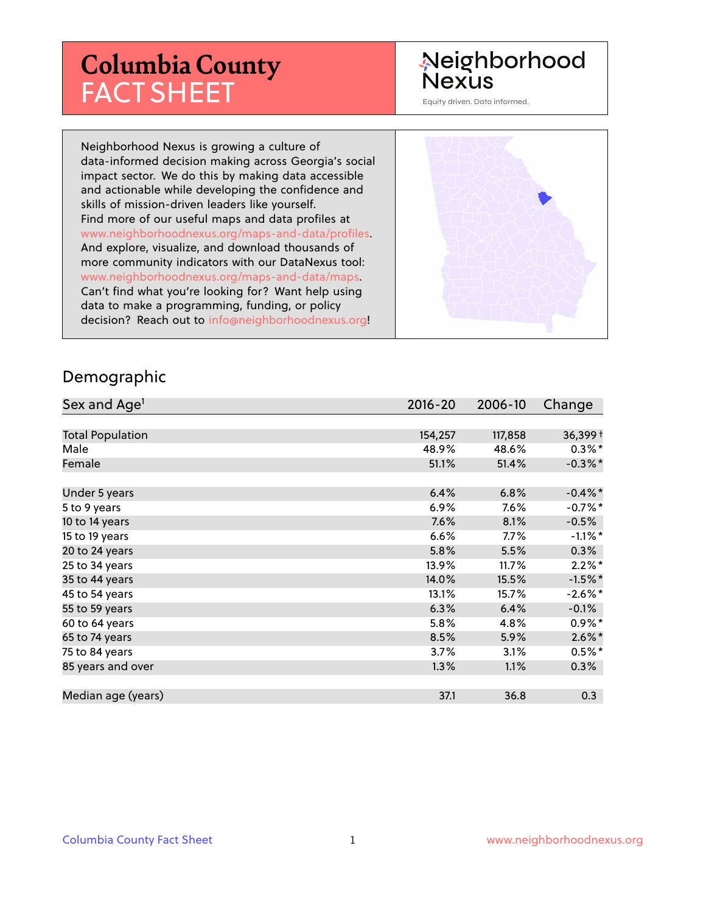# **Columbia County** FACT SHEET

## Neighborhood **Nexus**

Equity driven. Data informed.

Neighborhood Nexus is growing a culture of data-informed decision making across Georgia's social impact sector. We do this by making data accessible and actionable while developing the confidence and skills of mission-driven leaders like yourself. Find more of our useful maps and data profiles at www.neighborhoodnexus.org/maps-and-data/profiles. And explore, visualize, and download thousands of more community indicators with our DataNexus tool: www.neighborhoodnexus.org/maps-and-data/maps. Can't find what you're looking for? Want help using data to make a programming, funding, or policy decision? Reach out to [info@neighborhoodnexus.org!](mailto:info@neighborhoodnexus.org)



#### Demographic

| Sex and Age <sup>1</sup> | $2016 - 20$ | 2006-10 | Change     |
|--------------------------|-------------|---------|------------|
|                          |             |         |            |
| <b>Total Population</b>  | 154,257     | 117,858 | 36,399+    |
| Male                     | 48.9%       | 48.6%   | $0.3\%$ *  |
| Female                   | 51.1%       | 51.4%   | $-0.3\%$ * |
|                          |             |         |            |
| Under 5 years            | 6.4%        | 6.8%    | $-0.4\%$ * |
| 5 to 9 years             | $6.9\%$     | $7.6\%$ | $-0.7%$ *  |
| 10 to 14 years           | 7.6%        | 8.1%    | $-0.5%$    |
| 15 to 19 years           | 6.6%        | 7.7%    | $-1.1\%$ * |
| 20 to 24 years           | 5.8%        | 5.5%    | $0.3\%$    |
| 25 to 34 years           | 13.9%       | 11.7%   | $2.2\%$ *  |
| 35 to 44 years           | 14.0%       | 15.5%   | $-1.5%$ *  |
| 45 to 54 years           | 13.1%       | 15.7%   | $-2.6\%$ * |
| 55 to 59 years           | 6.3%        | 6.4%    | $-0.1%$    |
| 60 to 64 years           | 5.8%        | 4.8%    | $0.9\%*$   |
| 65 to 74 years           | 8.5%        | 5.9%    | $2.6\%$ *  |
| 75 to 84 years           | 3.7%        | 3.1%    | $0.5\%$ *  |
| 85 years and over        | 1.3%        | 1.1%    | $0.3\%$    |
|                          |             |         |            |
| Median age (years)       | 37.1        | 36.8    | 0.3        |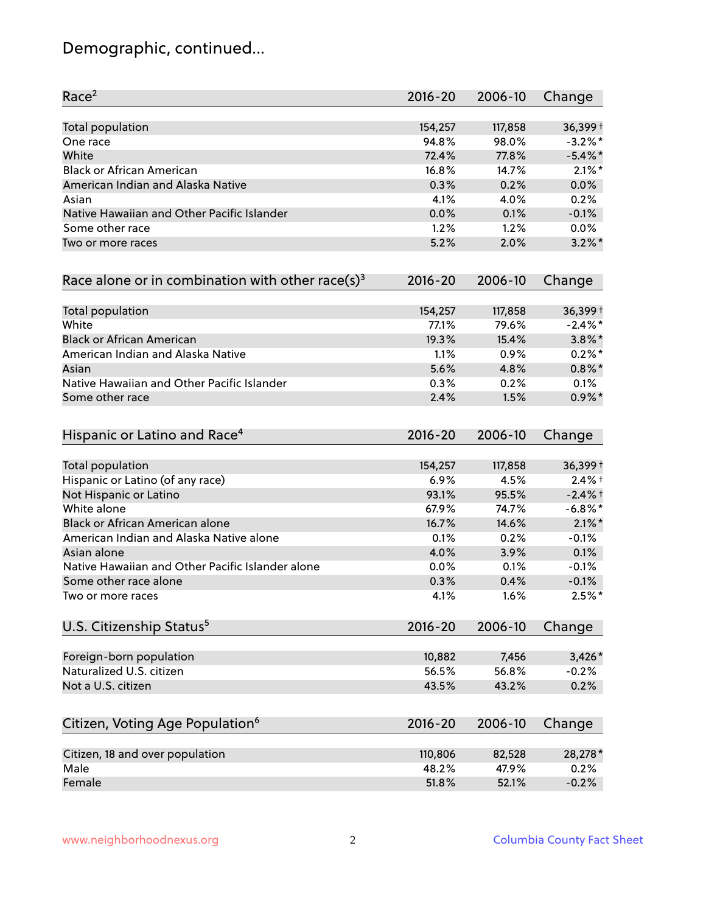## Demographic, continued...

| Race <sup>2</sup>                                            | $2016 - 20$ | 2006-10 | Change     |
|--------------------------------------------------------------|-------------|---------|------------|
| Total population                                             | 154,257     | 117,858 | 36,399+    |
| One race                                                     | 94.8%       | 98.0%   | $-3.2\%$ * |
| White                                                        | 72.4%       | 77.8%   | $-5.4\%$ * |
| <b>Black or African American</b>                             | 16.8%       | 14.7%   | $2.1\%$ *  |
| American Indian and Alaska Native                            | 0.3%        | 0.2%    | 0.0%       |
| Asian                                                        | 4.1%        | 4.0%    | 0.2%       |
| Native Hawaiian and Other Pacific Islander                   | 0.0%        | 0.1%    | $-0.1%$    |
| Some other race                                              | 1.2%        | 1.2%    | $0.0\%$    |
| Two or more races                                            | 5.2%        | 2.0%    | $3.2\%$ *  |
| Race alone or in combination with other race(s) <sup>3</sup> | $2016 - 20$ | 2006-10 | Change     |
| Total population                                             | 154,257     | 117,858 | 36,399+    |
| White                                                        | 77.1%       | 79.6%   | $-2.4\%$ * |
| <b>Black or African American</b>                             | 19.3%       | 15.4%   | $3.8\%$ *  |
| American Indian and Alaska Native                            | 1.1%        | 0.9%    | $0.2%$ *   |
| Asian                                                        | 5.6%        | 4.8%    | $0.8\%$ *  |
| Native Hawaiian and Other Pacific Islander                   | 0.3%        | 0.2%    | 0.1%       |
| Some other race                                              | 2.4%        | 1.5%    | $0.9\%$ *  |
| Hispanic or Latino and Race <sup>4</sup>                     | $2016 - 20$ | 2006-10 | Change     |
| Total population                                             | 154,257     | 117,858 | 36,399+    |
| Hispanic or Latino (of any race)                             | 6.9%        | 4.5%    | $2.4%$ †   |
| Not Hispanic or Latino                                       | 93.1%       | 95.5%   | $-2.4%$ +  |
| White alone                                                  | 67.9%       | 74.7%   | $-6.8\%$ * |
| Black or African American alone                              | 16.7%       | 14.6%   | $2.1\%$ *  |
| American Indian and Alaska Native alone                      | 0.1%        | 0.2%    | $-0.1%$    |
| Asian alone                                                  | 4.0%        | 3.9%    | 0.1%       |
| Native Hawaiian and Other Pacific Islander alone             | 0.0%        | 0.1%    | $-0.1%$    |
| Some other race alone                                        | 0.3%        | 0.4%    | $-0.1%$    |
| Two or more races                                            | 4.1%        | 1.6%    | $2.5%$ *   |
| U.S. Citizenship Status <sup>5</sup>                         | $2016 - 20$ | 2006-10 | Change     |
| Foreign-born population                                      | 10,882      | 7,456   | $3,426*$   |
| Naturalized U.S. citizen                                     | 56.5%       | 56.8%   | $-0.2%$    |
| Not a U.S. citizen                                           | 43.5%       | 43.2%   | 0.2%       |
|                                                              |             |         |            |
| Citizen, Voting Age Population <sup>6</sup>                  | $2016 - 20$ | 2006-10 | Change     |
| Citizen, 18 and over population                              | 110,806     | 82,528  | 28,278*    |
| Male                                                         | 48.2%       | 47.9%   | 0.2%       |
| Female                                                       | 51.8%       | 52.1%   | $-0.2%$    |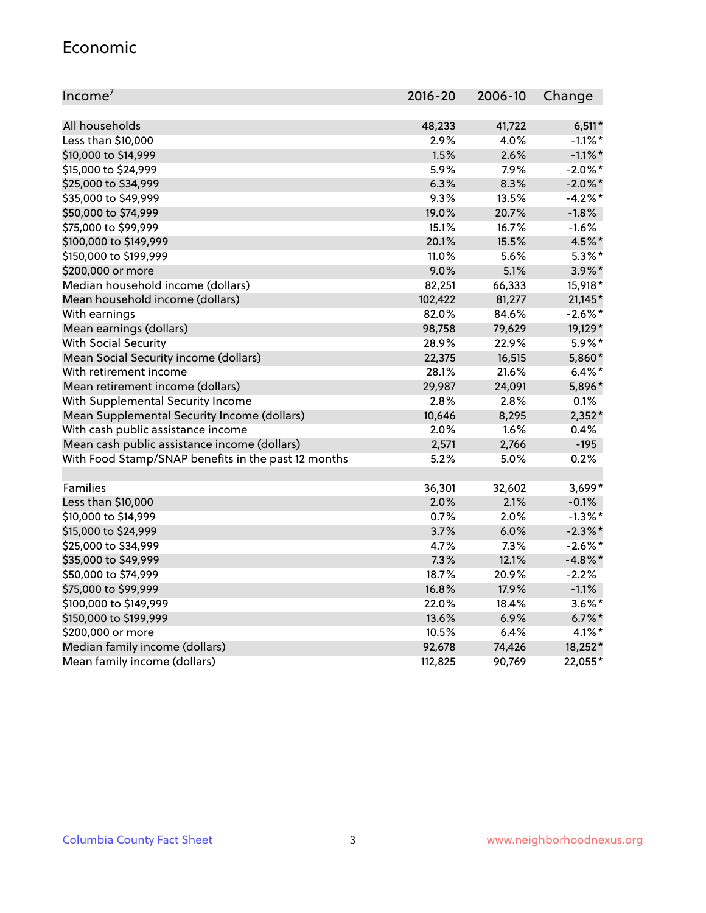### Economic

| Income <sup>7</sup>                                 | 2016-20 | 2006-10 | Change     |
|-----------------------------------------------------|---------|---------|------------|
|                                                     |         |         |            |
| All households                                      | 48,233  | 41,722  | $6,511*$   |
| Less than \$10,000                                  | 2.9%    | 4.0%    | $-1.1\%$ * |
| \$10,000 to \$14,999                                | 1.5%    | 2.6%    | $-1.1\%$ * |
| \$15,000 to \$24,999                                | 5.9%    | 7.9%    | $-2.0\%$ * |
| \$25,000 to \$34,999                                | 6.3%    | 8.3%    | $-2.0\%$ * |
| \$35,000 to \$49,999                                | 9.3%    | 13.5%   | $-4.2%$ *  |
| \$50,000 to \$74,999                                | 19.0%   | 20.7%   | $-1.8%$    |
| \$75,000 to \$99,999                                | 15.1%   | 16.7%   | $-1.6%$    |
| \$100,000 to \$149,999                              | 20.1%   | 15.5%   | 4.5%*      |
| \$150,000 to \$199,999                              | 11.0%   | 5.6%    | $5.3\%$ *  |
| \$200,000 or more                                   | 9.0%    | 5.1%    | $3.9\%$ *  |
| Median household income (dollars)                   | 82,251  | 66,333  | 15,918*    |
| Mean household income (dollars)                     | 102,422 | 81,277  | 21,145*    |
| With earnings                                       | 82.0%   | 84.6%   | $-2.6\%$ * |
| Mean earnings (dollars)                             | 98,758  | 79,629  | 19,129*    |
| <b>With Social Security</b>                         | 28.9%   | 22.9%   | 5.9%*      |
| Mean Social Security income (dollars)               | 22,375  | 16,515  | 5,860*     |
| With retirement income                              | 28.1%   | 21.6%   | $6.4\%$ *  |
| Mean retirement income (dollars)                    | 29,987  | 24,091  | 5,896*     |
| With Supplemental Security Income                   | 2.8%    | 2.8%    | 0.1%       |
| Mean Supplemental Security Income (dollars)         | 10,646  | 8,295   | $2,352*$   |
| With cash public assistance income                  | 2.0%    | 1.6%    | 0.4%       |
| Mean cash public assistance income (dollars)        | 2,571   | 2,766   | $-195$     |
| With Food Stamp/SNAP benefits in the past 12 months | 5.2%    | 5.0%    | 0.2%       |
|                                                     |         |         |            |
| Families                                            | 36,301  | 32,602  | 3,699*     |
| Less than \$10,000                                  | 2.0%    | 2.1%    | $-0.1%$    |
| \$10,000 to \$14,999                                | 0.7%    | 2.0%    | $-1.3\%$ * |
| \$15,000 to \$24,999                                | 3.7%    | 6.0%    | $-2.3\%$ * |
| \$25,000 to \$34,999                                | 4.7%    | 7.3%    | $-2.6\%$ * |
| \$35,000 to \$49,999                                | 7.3%    | 12.1%   | $-4.8\%$ * |
| \$50,000 to \$74,999                                | 18.7%   | 20.9%   | $-2.2%$    |
| \$75,000 to \$99,999                                | 16.8%   | 17.9%   | $-1.1%$    |
| \$100,000 to \$149,999                              | 22.0%   | 18.4%   | $3.6\%$ *  |
| \$150,000 to \$199,999                              | 13.6%   | 6.9%    | $6.7\%$ *  |
| \$200,000 or more                                   | 10.5%   | 6.4%    | $4.1\%$ *  |
| Median family income (dollars)                      | 92,678  | 74,426  | 18,252*    |
| Mean family income (dollars)                        | 112,825 | 90,769  | 22,055*    |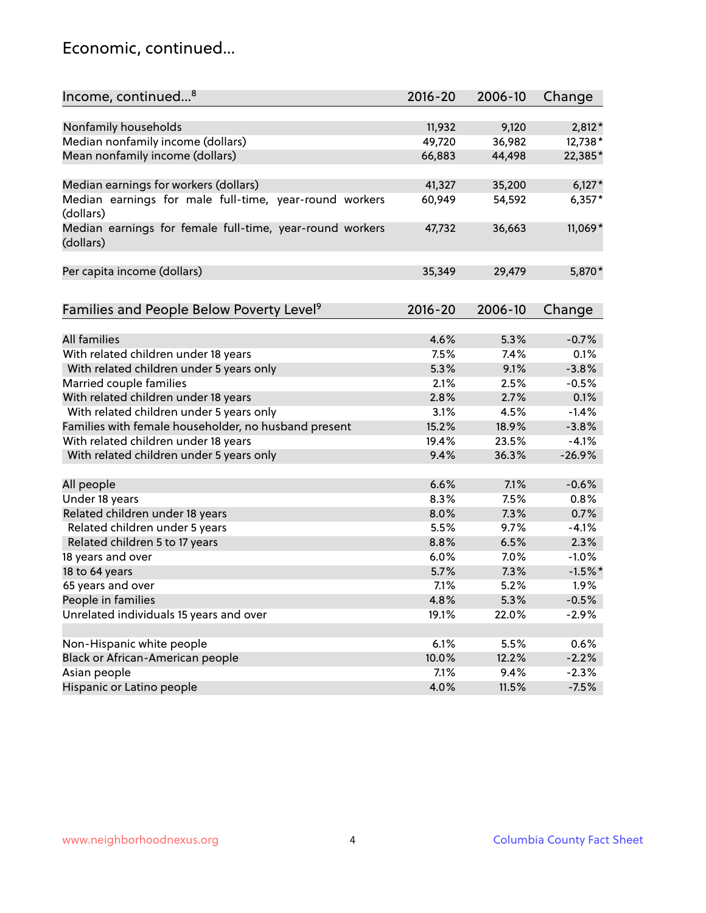## Economic, continued...

| Income, continued <sup>8</sup>                                        | 2016-20 | 2006-10 | Change    |
|-----------------------------------------------------------------------|---------|---------|-----------|
|                                                                       |         |         |           |
| Nonfamily households                                                  | 11,932  | 9,120   | 2,812*    |
| Median nonfamily income (dollars)                                     | 49,720  | 36,982  | 12,738*   |
| Mean nonfamily income (dollars)                                       | 66,883  | 44,498  | 22,385*   |
| Median earnings for workers (dollars)                                 | 41,327  | 35,200  | $6,127*$  |
| Median earnings for male full-time, year-round workers                | 60,949  | 54,592  | $6,357*$  |
| (dollars)                                                             |         |         |           |
| Median earnings for female full-time, year-round workers<br>(dollars) | 47,732  | 36,663  | 11,069*   |
| Per capita income (dollars)                                           | 35,349  | 29,479  | 5,870*    |
|                                                                       |         |         |           |
| Families and People Below Poverty Level <sup>9</sup>                  | 2016-20 | 2006-10 | Change    |
|                                                                       |         |         |           |
| <b>All families</b>                                                   | 4.6%    | 5.3%    | $-0.7%$   |
| With related children under 18 years                                  | 7.5%    | 7.4%    | 0.1%      |
| With related children under 5 years only                              | 5.3%    | 9.1%    | $-3.8%$   |
| Married couple families                                               | 2.1%    | 2.5%    | $-0.5%$   |
| With related children under 18 years                                  | 2.8%    | 2.7%    | 0.1%      |
| With related children under 5 years only                              | 3.1%    | 4.5%    | $-1.4%$   |
| Families with female householder, no husband present                  | 15.2%   | 18.9%   | $-3.8%$   |
| With related children under 18 years                                  | 19.4%   | 23.5%   | $-4.1%$   |
| With related children under 5 years only                              | 9.4%    | 36.3%   | $-26.9%$  |
| All people                                                            | 6.6%    | 7.1%    | $-0.6%$   |
| Under 18 years                                                        | 8.3%    | 7.5%    | 0.8%      |
| Related children under 18 years                                       | 8.0%    | 7.3%    | 0.7%      |
| Related children under 5 years                                        | 5.5%    | 9.7%    | $-4.1%$   |
|                                                                       | 8.8%    | 6.5%    | 2.3%      |
| Related children 5 to 17 years                                        |         |         |           |
| 18 years and over                                                     | 6.0%    | 7.0%    | $-1.0%$   |
| 18 to 64 years                                                        | 5.7%    | 7.3%    | $-1.5%$ * |
| 65 years and over                                                     | 7.1%    | 5.2%    | 1.9%      |
| People in families                                                    | 4.8%    | 5.3%    | $-0.5%$   |
| Unrelated individuals 15 years and over                               | 19.1%   | 22.0%   | $-2.9%$   |
|                                                                       |         |         |           |
| Non-Hispanic white people                                             | 6.1%    | 5.5%    | 0.6%      |
| Black or African-American people                                      | 10.0%   | 12.2%   | $-2.2%$   |
| Asian people                                                          | 7.1%    | 9.4%    | $-2.3%$   |
| Hispanic or Latino people                                             | 4.0%    | 11.5%   | $-7.5%$   |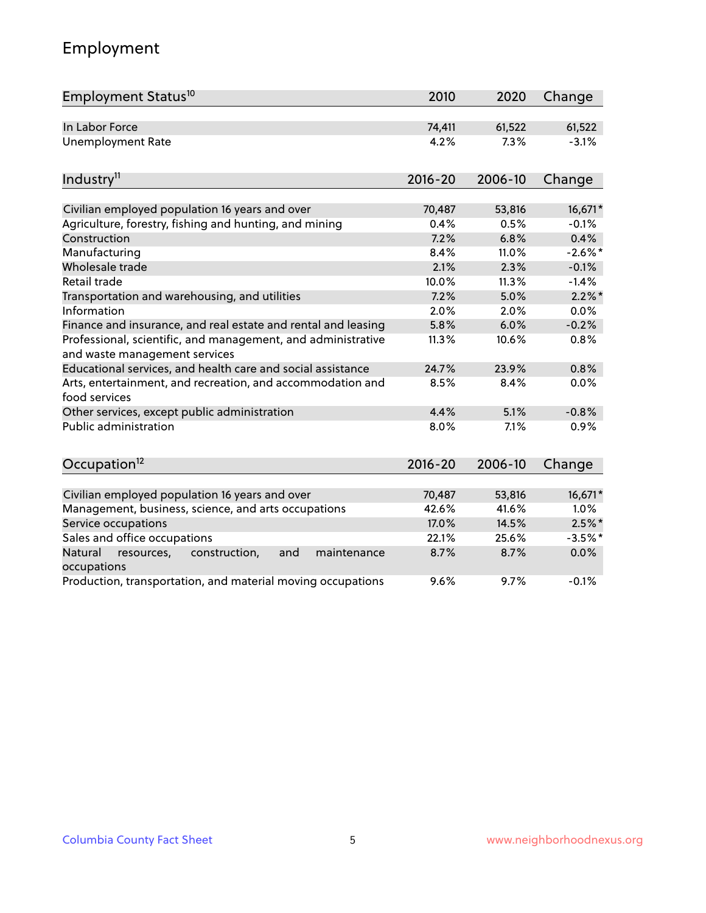## Employment

| Employment Status <sup>10</sup>                                                                          | 2010           | 2020           | Change             |
|----------------------------------------------------------------------------------------------------------|----------------|----------------|--------------------|
| In Labor Force                                                                                           | 74,411         | 61,522         | 61,522             |
| <b>Unemployment Rate</b>                                                                                 | 4.2%           | 7.3%           | $-3.1%$            |
| Industry <sup>11</sup>                                                                                   | $2016 - 20$    | 2006-10        | Change             |
|                                                                                                          |                |                |                    |
| Civilian employed population 16 years and over<br>Agriculture, forestry, fishing and hunting, and mining | 70,487<br>0.4% | 53,816<br>0.5% | 16,671*<br>$-0.1%$ |
| Construction                                                                                             | 7.2%           | 6.8%           | 0.4%               |
| Manufacturing                                                                                            | 8.4%           | 11.0%          | $-2.6\%$ *         |
| Wholesale trade                                                                                          | 2.1%           | 2.3%           | $-0.1%$            |
| Retail trade                                                                                             | 10.0%          | 11.3%          | $-1.4%$            |
| Transportation and warehousing, and utilities                                                            | 7.2%           | 5.0%           | $2.2\%$ *          |
| Information                                                                                              | 2.0%           | 2.0%           | 0.0%               |
| Finance and insurance, and real estate and rental and leasing                                            | 5.8%           | 6.0%           | $-0.2%$            |
| Professional, scientific, and management, and administrative<br>and waste management services            | 11.3%          | 10.6%          | 0.8%               |
| Educational services, and health care and social assistance                                              | 24.7%          | 23.9%          | 0.8%               |
| Arts, entertainment, and recreation, and accommodation and<br>food services                              | 8.5%           | 8.4%           | 0.0%               |
| Other services, except public administration                                                             | 4.4%           | 5.1%           | $-0.8%$            |
| <b>Public administration</b>                                                                             | 8.0%           | 7.1%           | 0.9%               |
| Occupation <sup>12</sup>                                                                                 | $2016 - 20$    | 2006-10        | Change             |
|                                                                                                          |                |                |                    |
| Civilian employed population 16 years and over                                                           | 70,487         | 53,816         | 16,671*            |
| Management, business, science, and arts occupations                                                      | 42.6%          | 41.6%          | 1.0%               |
| Service occupations                                                                                      | 17.0%          | 14.5%          | $2.5%$ *           |
| Sales and office occupations                                                                             | 22.1%          | 25.6%          | $-3.5%$ *          |
| Natural<br>resources,<br>construction,<br>and<br>maintenance<br>occupations                              | 8.7%           | 8.7%           | 0.0%               |
| Production, transportation, and material moving occupations                                              | 9.6%           | 9.7%           | $-0.1%$            |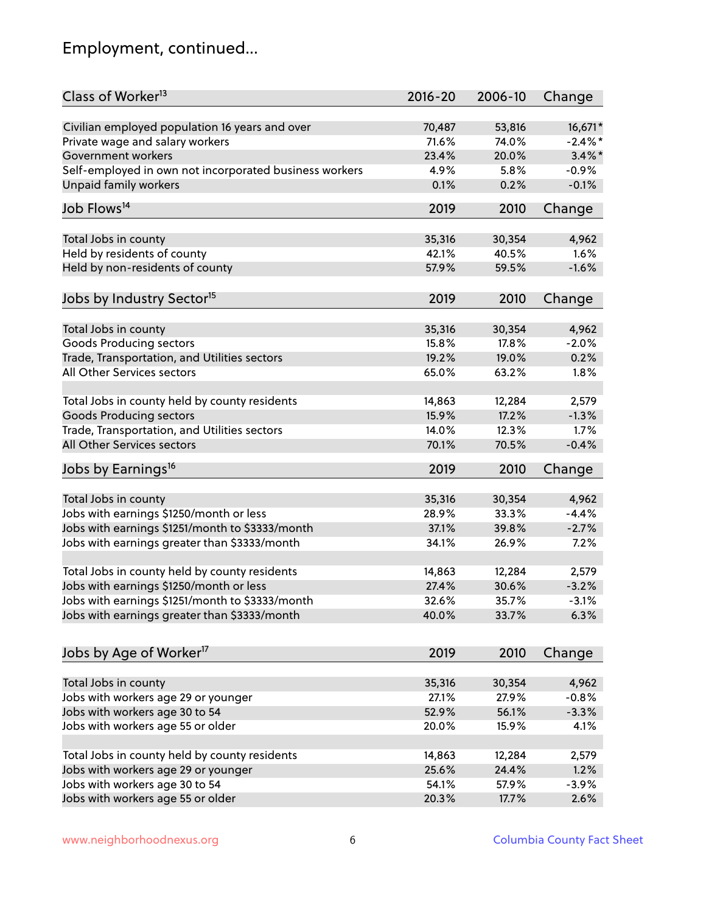## Employment, continued...

| Class of Worker <sup>13</sup>                          | $2016 - 20$ | 2006-10 | Change     |
|--------------------------------------------------------|-------------|---------|------------|
| Civilian employed population 16 years and over         | 70,487      | 53,816  | 16,671*    |
| Private wage and salary workers                        | 71.6%       | 74.0%   | $-2.4\%$ * |
| Government workers                                     | 23.4%       | 20.0%   | $3.4\%$ *  |
| Self-employed in own not incorporated business workers | 4.9%        | 5.8%    | $-0.9%$    |
| <b>Unpaid family workers</b>                           | 0.1%        | 0.2%    | $-0.1%$    |
| Job Flows <sup>14</sup>                                | 2019        | 2010    | Change     |
|                                                        |             |         |            |
| Total Jobs in county                                   | 35,316      | 30,354  | 4,962      |
| Held by residents of county                            | 42.1%       | 40.5%   | 1.6%       |
| Held by non-residents of county                        | 57.9%       | 59.5%   | $-1.6%$    |
| Jobs by Industry Sector <sup>15</sup>                  | 2019        | 2010    | Change     |
|                                                        |             |         |            |
| Total Jobs in county                                   | 35,316      | 30,354  | 4,962      |
| <b>Goods Producing sectors</b>                         | 15.8%       | 17.8%   | $-2.0%$    |
| Trade, Transportation, and Utilities sectors           | 19.2%       | 19.0%   | 0.2%       |
| All Other Services sectors                             | 65.0%       | 63.2%   | 1.8%       |
|                                                        |             |         |            |
| Total Jobs in county held by county residents          | 14,863      | 12,284  | 2,579      |
| <b>Goods Producing sectors</b>                         | 15.9%       | 17.2%   | $-1.3%$    |
| Trade, Transportation, and Utilities sectors           | 14.0%       | 12.3%   | 1.7%       |
| All Other Services sectors                             | 70.1%       | 70.5%   | $-0.4%$    |
| Jobs by Earnings <sup>16</sup>                         | 2019        | 2010    | Change     |
|                                                        |             |         |            |
| Total Jobs in county                                   | 35,316      | 30,354  | 4,962      |
| Jobs with earnings \$1250/month or less                | 28.9%       | 33.3%   | $-4.4%$    |
| Jobs with earnings \$1251/month to \$3333/month        | 37.1%       | 39.8%   | $-2.7%$    |
| Jobs with earnings greater than \$3333/month           | 34.1%       | 26.9%   | 7.2%       |
| Total Jobs in county held by county residents          | 14,863      | 12,284  | 2,579      |
| Jobs with earnings \$1250/month or less                | 27.4%       | 30.6%   | $-3.2%$    |
| Jobs with earnings \$1251/month to \$3333/month        | 32.6%       | 35.7%   | $-3.1%$    |
| Jobs with earnings greater than \$3333/month           | 40.0%       | 33.7%   | 6.3%       |
|                                                        |             |         |            |
| Jobs by Age of Worker <sup>17</sup>                    | 2019        | 2010    | Change     |
| Total Jobs in county                                   | 35,316      | 30,354  | 4,962      |
| Jobs with workers age 29 or younger                    | 27.1%       | 27.9%   | $-0.8%$    |
| Jobs with workers age 30 to 54                         | 52.9%       | 56.1%   | $-3.3%$    |
| Jobs with workers age 55 or older                      | 20.0%       | 15.9%   | 4.1%       |
|                                                        |             |         |            |
| Total Jobs in county held by county residents          | 14,863      | 12,284  | 2,579      |
| Jobs with workers age 29 or younger                    | 25.6%       | 24.4%   | 1.2%       |
| Jobs with workers age 30 to 54                         | 54.1%       | 57.9%   | $-3.9%$    |
| Jobs with workers age 55 or older                      | 20.3%       | 17.7%   | 2.6%       |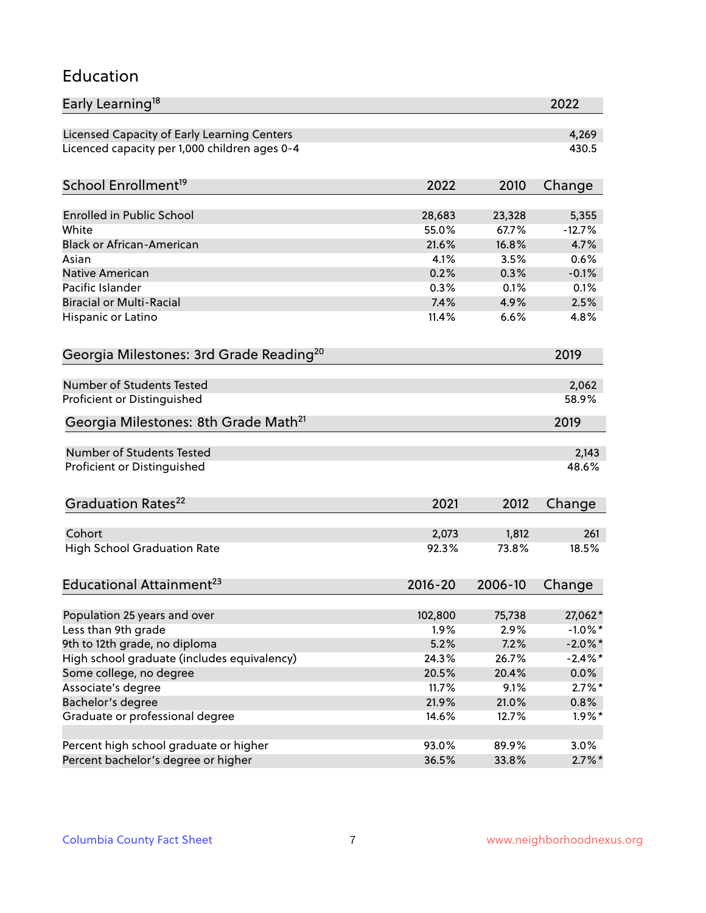### Education

| Early Learning <sup>18</sup>                        |             |                | 2022       |
|-----------------------------------------------------|-------------|----------------|------------|
| Licensed Capacity of Early Learning Centers         |             |                | 4,269      |
| Licenced capacity per 1,000 children ages 0-4       |             |                | 430.5      |
| School Enrollment <sup>19</sup>                     | 2022        | 2010           | Change     |
|                                                     |             |                |            |
| <b>Enrolled in Public School</b>                    | 28,683      | 23,328         | 5,355      |
| White                                               | 55.0%       | 67.7%          | $-12.7%$   |
| <b>Black or African-American</b>                    | 21.6%       | 16.8%          | 4.7%       |
| Asian                                               | 4.1%        | 3.5%           | 0.6%       |
| Native American                                     | 0.2%        | 0.3%           | $-0.1%$    |
| Pacific Islander                                    | 0.3%        | 0.1%           | 0.1%       |
| <b>Biracial or Multi-Racial</b>                     | 7.4%        | 4.9%           | 2.5%       |
| Hispanic or Latino                                  | 11.4%       | 6.6%           | 4.8%       |
| Georgia Milestones: 3rd Grade Reading <sup>20</sup> |             |                | 2019       |
|                                                     |             |                |            |
| Number of Students Tested                           |             |                | 2,062      |
| Proficient or Distinguished                         |             |                | 58.9%      |
| Georgia Milestones: 8th Grade Math <sup>21</sup>    |             |                | 2019       |
| Number of Students Tested                           |             |                | 2,143      |
| Proficient or Distinguished                         |             |                | 48.6%      |
|                                                     |             |                |            |
| Graduation Rates <sup>22</sup>                      | 2021        | 2012           | Change     |
| Cohort                                              | 2,073       | 1,812          | 261        |
| <b>High School Graduation Rate</b>                  | 92.3%       | 73.8%          | 18.5%      |
|                                                     |             |                |            |
| Educational Attainment <sup>23</sup>                | $2016 - 20$ | 2006-10        | Change     |
|                                                     |             |                |            |
| Population 25 years and over                        | 102,800     | 75,738         | 27,062*    |
| Less than 9th grade                                 | 1.9%        | 2.9%           | $-1.0\%$ * |
| 9th to 12th grade, no diploma                       | 5.2%        | 7.2%           | $-2.0\%$ * |
| High school graduate (includes equivalency)         | 24.3%       | 26.7%<br>20.4% | $-2.4\%$ * |
| Some college, no degree                             | 20.5%       |                | $0.0\%$    |
| Associate's degree                                  | 11.7%       | 9.1%           | $2.7\%$ *  |
| Bachelor's degree                                   | 21.9%       | 21.0%          | 0.8%       |
| Graduate or professional degree                     | 14.6%       | 12.7%          | $1.9\%$ *  |
| Percent high school graduate or higher              | 93.0%       | 89.9%          | 3.0%       |
| Percent bachelor's degree or higher                 | 36.5%       | 33.8%          | $2.7\%$ *  |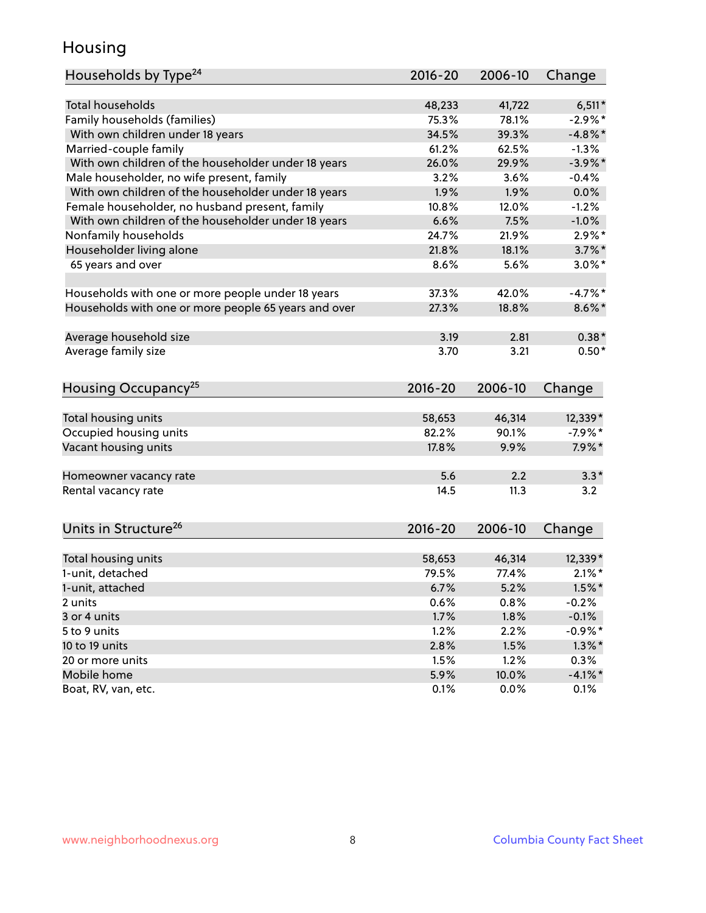## Housing

| Households by Type <sup>24</sup>                     | 2016-20     | 2006-10 | Change     |
|------------------------------------------------------|-------------|---------|------------|
|                                                      |             |         |            |
| Total households                                     | 48,233      | 41,722  | $6,511*$   |
| Family households (families)                         | 75.3%       | 78.1%   | $-2.9%$ *  |
| With own children under 18 years                     | 34.5%       | 39.3%   | $-4.8\%$ * |
| Married-couple family                                | 61.2%       | 62.5%   | $-1.3%$    |
| With own children of the householder under 18 years  | 26.0%       | 29.9%   | $-3.9\%$ * |
| Male householder, no wife present, family            | 3.2%        | 3.6%    | $-0.4%$    |
| With own children of the householder under 18 years  | 1.9%        | 1.9%    | 0.0%       |
| Female householder, no husband present, family       | 10.8%       | 12.0%   | $-1.2%$    |
| With own children of the householder under 18 years  | 6.6%        | 7.5%    | $-1.0%$    |
| Nonfamily households                                 | 24.7%       | 21.9%   | $2.9\%$ *  |
| Householder living alone                             | 21.8%       | 18.1%   | $3.7\%$ *  |
| 65 years and over                                    | 8.6%        | 5.6%    | $3.0\%$ *  |
|                                                      |             |         |            |
| Households with one or more people under 18 years    | 37.3%       | 42.0%   | $-4.7%$ *  |
| Households with one or more people 65 years and over | 27.3%       | 18.8%   | $8.6\%$ *  |
|                                                      |             |         |            |
| Average household size                               | 3.19        | 2.81    | $0.38*$    |
| Average family size                                  | 3.70        | 3.21    | $0.50*$    |
|                                                      |             |         |            |
| Housing Occupancy <sup>25</sup>                      | 2016-20     | 2006-10 | Change     |
|                                                      |             |         |            |
| Total housing units                                  | 58,653      | 46,314  | 12,339*    |
| Occupied housing units                               | 82.2%       | 90.1%   | $-7.9%$ *  |
| Vacant housing units                                 | 17.8%       | 9.9%    | $7.9\%*$   |
|                                                      |             |         |            |
| Homeowner vacancy rate                               | 5.6         | 2.2     | $3.3*$     |
| Rental vacancy rate                                  | 14.5        | 11.3    | 3.2        |
|                                                      |             |         |            |
| Units in Structure <sup>26</sup>                     |             |         |            |
|                                                      | $2016 - 20$ | 2006-10 | Change     |
| Total housing units                                  | 58,653      | 46,314  | 12,339*    |
| 1-unit, detached                                     | 79.5%       | 77.4%   | $2.1\%$ *  |
| 1-unit, attached                                     | 6.7%        | 5.2%    | $1.5\%$ *  |
| 2 units                                              | 0.6%        | 0.8%    | $-0.2%$    |
| 3 or 4 units                                         | 1.7%        | 1.8%    | $-0.1%$    |
| 5 to 9 units                                         |             |         | $-0.9%$ *  |
|                                                      | 1.2%        | 2.2%    |            |
| 10 to 19 units                                       | 2.8%        | 1.5%    | $1.3\%$ *  |
| 20 or more units                                     | 1.5%        | 1.2%    | 0.3%       |
| Mobile home                                          | 5.9%        | 10.0%   | $-4.1%$ *  |
| Boat, RV, van, etc.                                  | 0.1%        | 0.0%    | 0.1%       |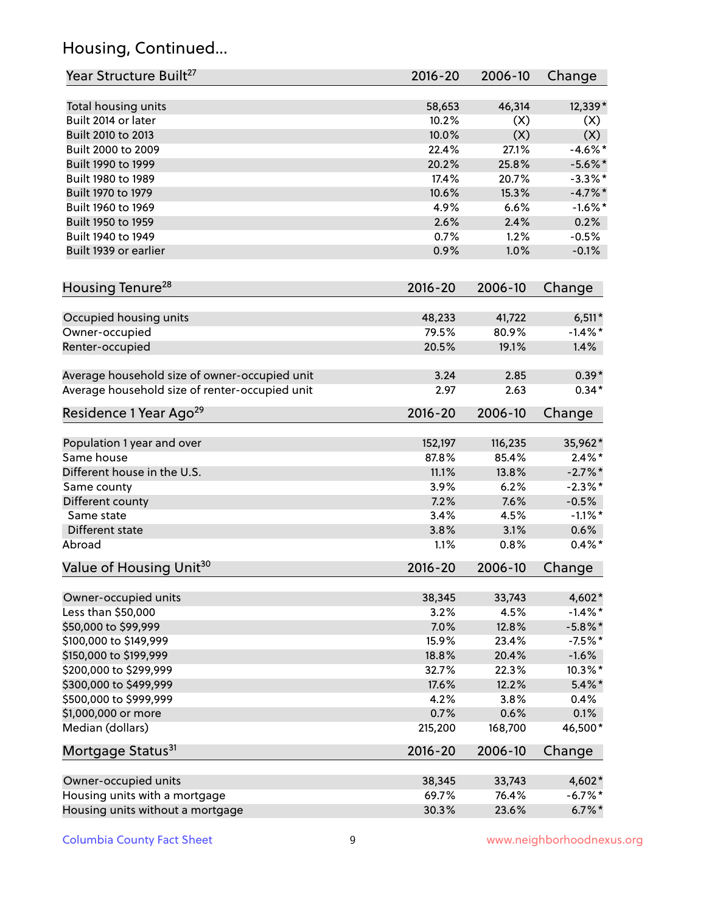## Housing, Continued...

| Year Structure Built <sup>27</sup>             | 2016-20     | 2006-10 | Change     |
|------------------------------------------------|-------------|---------|------------|
| Total housing units                            | 58,653      | 46,314  | 12,339*    |
| Built 2014 or later                            | 10.2%       | (X)     | (X)        |
| Built 2010 to 2013                             | 10.0%       | (X)     | (X)        |
| Built 2000 to 2009                             | 22.4%       | 27.1%   | $-4.6\%$ * |
| Built 1990 to 1999                             | 20.2%       | 25.8%   | $-5.6\%$ * |
| Built 1980 to 1989                             | 17.4%       | 20.7%   | $-3.3\%$ * |
| Built 1970 to 1979                             | 10.6%       | 15.3%   | $-4.7%$    |
| Built 1960 to 1969                             | 4.9%        | 6.6%    | $-1.6\%$ * |
| Built 1950 to 1959                             | 2.6%        | 2.4%    | 0.2%       |
| Built 1940 to 1949                             | 0.7%        | 1.2%    | $-0.5%$    |
| Built 1939 or earlier                          | 0.9%        | 1.0%    | $-0.1%$    |
| Housing Tenure <sup>28</sup>                   | $2016 - 20$ | 2006-10 | Change     |
|                                                | 48,233      | 41,722  | $6,511*$   |
| Occupied housing units<br>Owner-occupied       | 79.5%       | 80.9%   | $-1.4%$ *  |
| Renter-occupied                                | 20.5%       | 19.1%   | 1.4%       |
|                                                |             |         |            |
| Average household size of owner-occupied unit  | 3.24        | 2.85    | $0.39*$    |
| Average household size of renter-occupied unit | 2.97        | 2.63    | $0.34*$    |
| Residence 1 Year Ago <sup>29</sup>             | 2016-20     | 2006-10 | Change     |
| Population 1 year and over                     | 152,197     | 116,235 | 35,962*    |
| Same house                                     | 87.8%       | 85.4%   | $2.4\%$ *  |
| Different house in the U.S.                    | 11.1%       | 13.8%   | $-2.7\%$ * |
| Same county                                    | 3.9%        | 6.2%    | $-2.3\%$ * |
| Different county                               | 7.2%        | 7.6%    | $-0.5%$    |
| Same state                                     | 3.4%        | 4.5%    | $-1.1\%$ * |
| Different state                                | 3.8%        | 3.1%    | 0.6%       |
| Abroad                                         | 1.1%        | 0.8%    | $0.4\%*$   |
| Value of Housing Unit <sup>30</sup>            | $2016 - 20$ | 2006-10 | Change     |
| Owner-occupied units                           | 38,345      | 33,743  | 4,602*     |
| Less than \$50,000                             | 3.2%        | 4.5%    | $-1.4%$ *  |
| \$50,000 to \$99,999                           | 7.0%        | 12.8%   | $-5.8\%$ * |
| \$100,000 to \$149,999                         | 15.9%       | 23.4%   | $-7.5%$ *  |
| \$150,000 to \$199,999                         | 18.8%       | 20.4%   | $-1.6%$    |
| \$200,000 to \$299,999                         | 32.7%       | 22.3%   | 10.3%*     |
| \$300,000 to \$499,999                         | 17.6%       | 12.2%   | $5.4\%$ *  |
| \$500,000 to \$999,999                         | 4.2%        | 3.8%    | 0.4%       |
| \$1,000,000 or more                            | 0.7%        | 0.6%    | 0.1%       |
| Median (dollars)                               | 215,200     | 168,700 | 46,500*    |
| Mortgage Status <sup>31</sup>                  | $2016 - 20$ | 2006-10 | Change     |
| Owner-occupied units                           | 38,345      | 33,743  | 4,602*     |
| Housing units with a mortgage                  | 69.7%       | 76.4%   | $-6.7%$ *  |
| Housing units without a mortgage               | 30.3%       | 23.6%   | $6.7\%$ *  |
|                                                |             |         |            |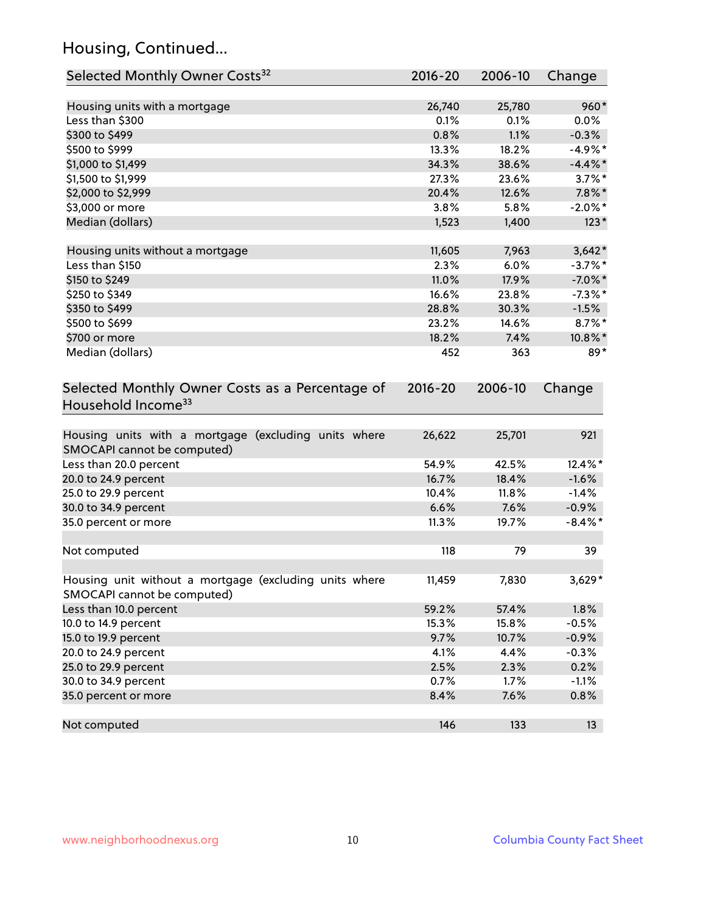## Housing, Continued...

| Selected Monthly Owner Costs <sup>32</sup>                                            | $2016 - 20$ | 2006-10 | Change     |
|---------------------------------------------------------------------------------------|-------------|---------|------------|
| Housing units with a mortgage                                                         | 26,740      | 25,780  | 960*       |
| Less than \$300                                                                       | 0.1%        | 0.1%    | $0.0\%$    |
| \$300 to \$499                                                                        | 0.8%        | 1.1%    | $-0.3%$    |
| \$500 to \$999                                                                        | 13.3%       | 18.2%   | $-4.9%$ *  |
| \$1,000 to \$1,499                                                                    | 34.3%       | 38.6%   | $-4.4\%$ * |
| \$1,500 to \$1,999                                                                    | 27.3%       | 23.6%   | $3.7\%$ *  |
| \$2,000 to \$2,999                                                                    | 20.4%       | 12.6%   | $7.8\%$ *  |
| \$3,000 or more                                                                       | 3.8%        | 5.8%    | $-2.0\%$ * |
| Median (dollars)                                                                      | 1,523       | 1,400   | $123*$     |
| Housing units without a mortgage                                                      | 11,605      | 7,963   | $3,642*$   |
| Less than \$150                                                                       | 2.3%        | 6.0%    | $-3.7\%$ * |
| \$150 to \$249                                                                        | 11.0%       | 17.9%   | $-7.0\%$ * |
| \$250 to \$349                                                                        | 16.6%       | 23.8%   | $-7.3\%$ * |
| \$350 to \$499                                                                        | 28.8%       | 30.3%   | $-1.5%$    |
| \$500 to \$699                                                                        | 23.2%       | 14.6%   | $8.7\%$ *  |
| \$700 or more                                                                         | 18.2%       | 7.4%    | 10.8%*     |
| Median (dollars)                                                                      | 452         | 363     | 89*        |
| Selected Monthly Owner Costs as a Percentage of<br>Household Income <sup>33</sup>     | $2016 - 20$ | 2006-10 | Change     |
| Housing units with a mortgage (excluding units where<br>SMOCAPI cannot be computed)   | 26,622      | 25,701  | 921        |
| Less than 20.0 percent                                                                | 54.9%       | 42.5%   | 12.4%*     |
| 20.0 to 24.9 percent                                                                  | 16.7%       | 18.4%   | $-1.6%$    |
| 25.0 to 29.9 percent                                                                  | 10.4%       | 11.8%   | $-1.4%$    |
| 30.0 to 34.9 percent                                                                  | 6.6%        | 7.6%    | $-0.9%$    |
| 35.0 percent or more                                                                  | 11.3%       | 19.7%   | $-8.4\%$ * |
| Not computed                                                                          | 118         | 79      | 39         |
| Housing unit without a mortgage (excluding units where<br>SMOCAPI cannot be computed) | 11,459      | 7,830   | $3,629*$   |
| Less than 10.0 percent                                                                | 59.2%       | 57.4%   | 1.8%       |
| 10.0 to 14.9 percent                                                                  | 15.3%       | 15.8%   | $-0.5%$    |
| 15.0 to 19.9 percent                                                                  | 9.7%        | 10.7%   | $-0.9%$    |
| 20.0 to 24.9 percent                                                                  | 4.1%        | 4.4%    | $-0.3%$    |
| 25.0 to 29.9 percent                                                                  | 2.5%        | 2.3%    | 0.2%       |
| 30.0 to 34.9 percent                                                                  | 0.7%        | 1.7%    | $-1.1%$    |
| 35.0 percent or more                                                                  | 8.4%        | 7.6%    | 0.8%       |
| Not computed                                                                          | 146         | 133     | 13         |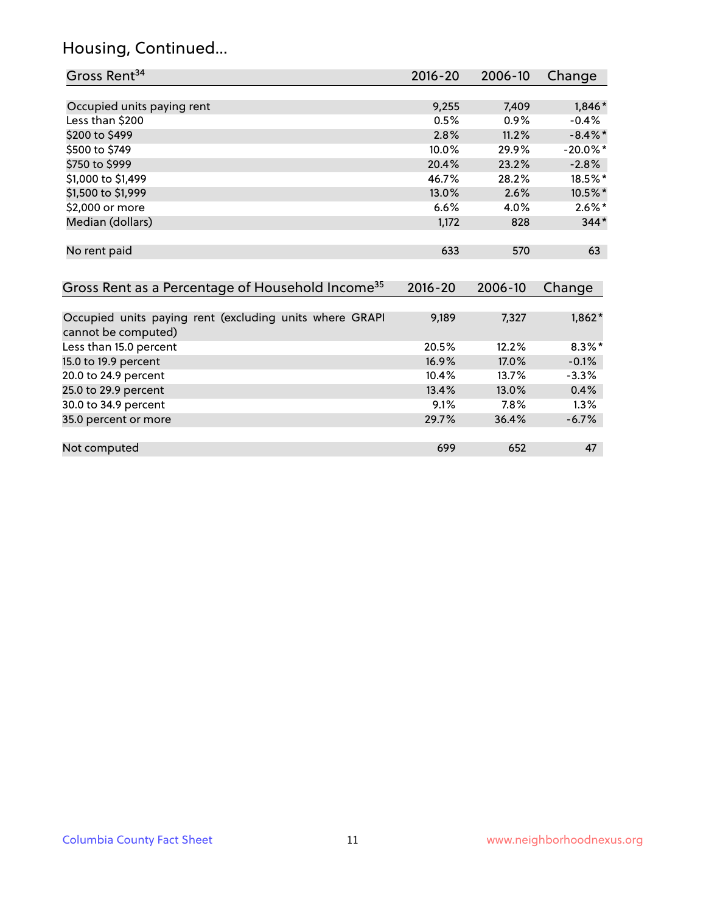## Housing, Continued...

| Gross Rent <sup>34</sup>                                                       | 2016-20            | 2006-10        | Change      |
|--------------------------------------------------------------------------------|--------------------|----------------|-------------|
|                                                                                |                    |                |             |
| Occupied units paying rent                                                     | 9,255              | 7,409          | 1,846*      |
| Less than \$200                                                                | 0.5%               | 0.9%           | $-0.4%$     |
| \$200 to \$499                                                                 | 2.8%               | 11.2%          | $-8.4\%$ *  |
| \$500 to \$749                                                                 | 10.0%              | 29.9%          | $-20.0\%$ * |
| \$750 to \$999                                                                 | 20.4%              | 23.2%          | $-2.8%$     |
| \$1,000 to \$1,499                                                             | 46.7%              | 28.2%          | 18.5%*      |
| \$1,500 to \$1,999                                                             | 13.0%              | 2.6%           | 10.5%*      |
| \$2,000 or more                                                                | 6.6%               | 4.0%           | $2.6\%$ *   |
| Median (dollars)                                                               | 1,172              | 828            | $344*$      |
| No rent paid<br>Gross Rent as a Percentage of Household Income <sup>35</sup>   | 633<br>$2016 - 20$ | 570<br>2006-10 | 63          |
|                                                                                |                    |                | Change      |
| Occupied units paying rent (excluding units where GRAPI<br>cannot be computed) | 9,189              | 7,327          | $1,862*$    |
| Less than 15.0 percent                                                         | 20.5%              | 12.2%          | $8.3\%$ *   |
| 15.0 to 19.9 percent                                                           | 16.9%              | 17.0%          | $-0.1%$     |
| 20.0 to 24.9 percent                                                           | 10.4%              | 13.7%          | $-3.3%$     |
| 25.0 to 29.9 percent                                                           | 13.4%              | 13.0%          | 0.4%        |
| 30.0 to 34.9 percent                                                           | 9.1%               | 7.8%           | 1.3%        |
| 35.0 percent or more                                                           | 29.7%              | 36.4%          | $-6.7%$     |
| Not computed                                                                   | 699                | 652            | 47          |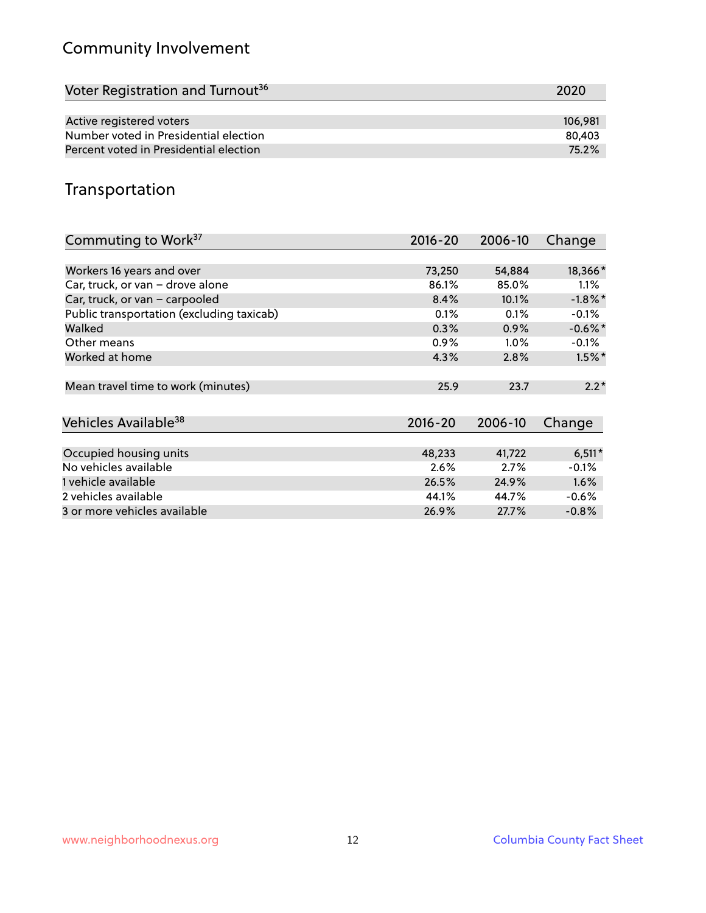## Community Involvement

| Voter Registration and Turnout <sup>36</sup> | 2020    |
|----------------------------------------------|---------|
|                                              |         |
| Active registered voters                     | 106.981 |
| Number voted in Presidential election        | 80,403  |
| Percent voted in Presidential election       | 75.2%   |

## Transportation

| Commuting to Work <sup>37</sup>           | 2016-20     | 2006-10 | Change     |
|-------------------------------------------|-------------|---------|------------|
|                                           |             |         |            |
| Workers 16 years and over                 | 73,250      | 54,884  | 18,366*    |
| Car, truck, or van - drove alone          | 86.1%       | 85.0%   | $1.1\%$    |
| Car, truck, or van - carpooled            | 8.4%        | 10.1%   | $-1.8\%$ * |
| Public transportation (excluding taxicab) | 0.1%        | 0.1%    | $-0.1%$    |
| Walked                                    | 0.3%        | 0.9%    | $-0.6\%$ * |
| Other means                               | $0.9\%$     | $1.0\%$ | $-0.1%$    |
| Worked at home                            | 4.3%        | 2.8%    | $1.5\%$ *  |
|                                           |             |         |            |
| Mean travel time to work (minutes)        | 25.9        | 23.7    | $2.2*$     |
|                                           |             |         |            |
| Vehicles Available <sup>38</sup>          | $2016 - 20$ | 2006-10 | Change     |
|                                           |             |         |            |
| Occupied housing units                    | 48,233      | 41,722  | $6,511*$   |
| No vehicles available                     | 2.6%        | 2.7%    | $-0.1%$    |
| 1 vehicle available                       | 26.5%       | 24.9%   | 1.6%       |
| 2 vehicles available                      | 44.1%       | 44.7%   | $-0.6%$    |
| 3 or more vehicles available              | 26.9%       | 27.7%   | $-0.8%$    |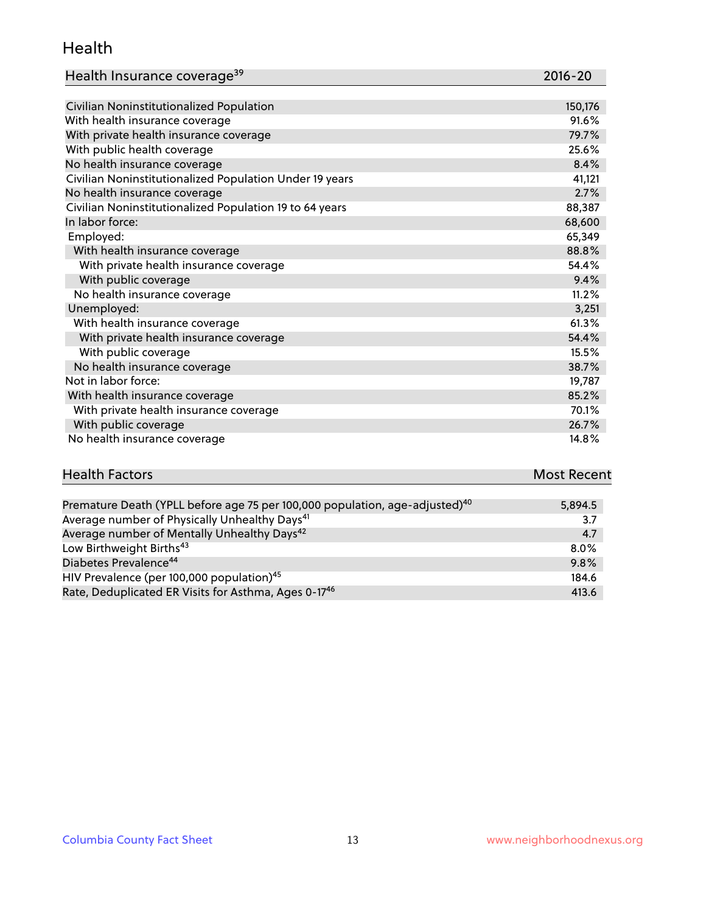#### Health

| Health Insurance coverage <sup>39</sup> | 2016-20 |
|-----------------------------------------|---------|
|-----------------------------------------|---------|

| Civilian Noninstitutionalized Population                | 150,176 |
|---------------------------------------------------------|---------|
| With health insurance coverage                          | 91.6%   |
| With private health insurance coverage                  | 79.7%   |
| With public health coverage                             | 25.6%   |
| No health insurance coverage                            | 8.4%    |
| Civilian Noninstitutionalized Population Under 19 years | 41,121  |
| No health insurance coverage                            | 2.7%    |
| Civilian Noninstitutionalized Population 19 to 64 years | 88,387  |
| In labor force:                                         | 68,600  |
| Employed:                                               | 65,349  |
| With health insurance coverage                          | 88.8%   |
| With private health insurance coverage                  | 54.4%   |
| With public coverage                                    | 9.4%    |
| No health insurance coverage                            | 11.2%   |
| Unemployed:                                             | 3,251   |
| With health insurance coverage                          | 61.3%   |
| With private health insurance coverage                  | 54.4%   |
| With public coverage                                    | 15.5%   |
| No health insurance coverage                            | 38.7%   |
| Not in labor force:                                     | 19,787  |
| With health insurance coverage                          | 85.2%   |
| With private health insurance coverage                  | 70.1%   |
| With public coverage                                    | 26.7%   |
| No health insurance coverage                            | 14.8%   |

# **Health Factors Most Recent** And The Control of the Control of The Control of The Control of The Control of The Control of The Control of The Control of The Control of The Control of The Control of The Control of The Contr

| Premature Death (YPLL before age 75 per 100,000 population, age-adjusted) <sup>40</sup> | 5,894.5 |
|-----------------------------------------------------------------------------------------|---------|
| Average number of Physically Unhealthy Days <sup>41</sup>                               | 3.7     |
| Average number of Mentally Unhealthy Days <sup>42</sup>                                 | 4.7     |
| Low Birthweight Births <sup>43</sup>                                                    | $8.0\%$ |
| Diabetes Prevalence <sup>44</sup>                                                       | 9.8%    |
| HIV Prevalence (per 100,000 population) <sup>45</sup>                                   | 184.6   |
| Rate, Deduplicated ER Visits for Asthma, Ages 0-17 <sup>46</sup>                        | 413.6   |